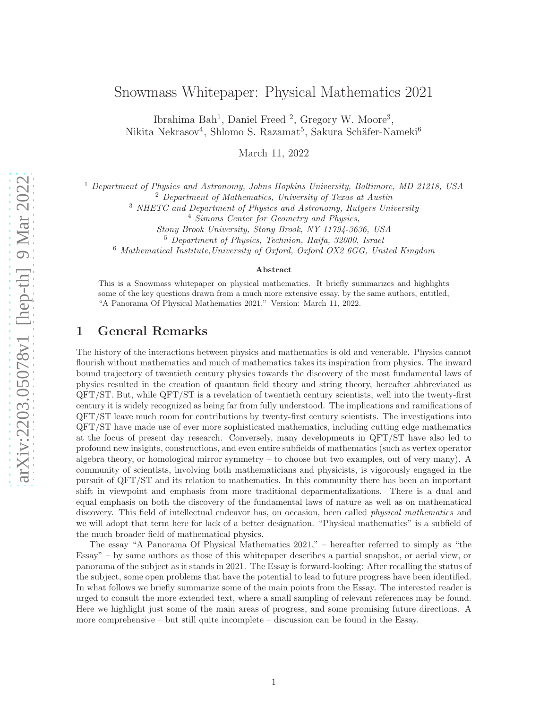Ibrahima Bah<sup>1</sup>, Daniel Freed<sup>2</sup>, Gregory W. Moore<sup>3</sup>, Nikita Nekrasov<sup>4</sup>, Shlomo S. Razamat<sup>5</sup>, Sakura Schäfer-Nameki<sup>6</sup>

March 11, 2022

<sup>1</sup> Department of Physics and Astronomy, Johns Hopkins University, Baltimore, MD 21218, USA <sup>2</sup> Department of Mathematics, University of Texas at Austin

<sup>3</sup> NHETC and Department of Physics and Astronomy, Rutgers University

<sup>4</sup> Simons Center for Geometry and Physics,

Stony Brook University, Stony Brook, NY 11794-3636, USA

<sup>5</sup> Department of Physics, Technion, Haifa, 32000, Israel

<sup>6</sup> Mathematical Institute,University of Oxford, Oxford OX2 6GG, United Kingdom

#### Abstract

This is a Snowmass whitepaper on physical mathematics. It briefly summarizes and highlights some of the key questions drawn from a much more extensive essay, by the same authors, entitled, "A Panorama Of Physical Mathematics 2021." Version: March 11, 2022.

### 1 General Remarks

The history of the interactions between physics and mathematics is old and venerable. Physics cannot flourish without mathematics and much of mathematics takes its inspiration from physics. The inward bound trajectory of twentieth century physics towards the discovery of the most fundamental laws of physics resulted in the creation of quantum field theory and string theory, hereafter abbreviated as QFT/ST. But, while QFT/ST is a revelation of twentieth century scientists, well into the twenty-first century it is widely recognized as being far from fully understood. The implications and ramifications of QFT/ST leave much room for contributions by twenty-first century scientists. The investigations into QFT/ST have made use of ever more sophisticated mathematics, including cutting edge mathematics at the focus of present day research. Conversely, many developments in QFT/ST have also led to profound new insights, constructions, and even entire subfields of mathematics (such as vertex operator algebra theory, or homological mirror symmetry – to choose but two examples, out of very many). A community of scientists, involving both mathematicians and physicists, is vigorously engaged in the pursuit of QFT/ST and its relation to mathematics. In this community there has been an important shift in viewpoint and emphasis from more traditional deparmentalizations. There is a dual and equal emphasis on both the discovery of the fundamental laws of nature as well as on mathematical discovery. This field of intellectual endeavor has, on occasion, been called *physical mathematics* and we will adopt that term here for lack of a better designation. "Physical mathematics" is a subfield of the much broader field of mathematical physics.

The essay "A Panorama Of Physical Mathematics 2021," – hereafter referred to simply as "the Essay" – by same authors as those of this whitepaper describes a partial snapshot, or aerial view, or panorama of the subject as it stands in 2021. The Essay is forward-looking: After recalling the status of the subject, some open problems that have the potential to lead to future progress have been identified. In what follows we briefly summarize some of the main points from the Essay. The interested reader is urged to consult the more extended text, where a small sampling of relevant references may be found. Here we highlight just some of the main areas of progress, and some promising future directions. A more comprehensive – but still quite incomplete – discussion can be found in the Essay.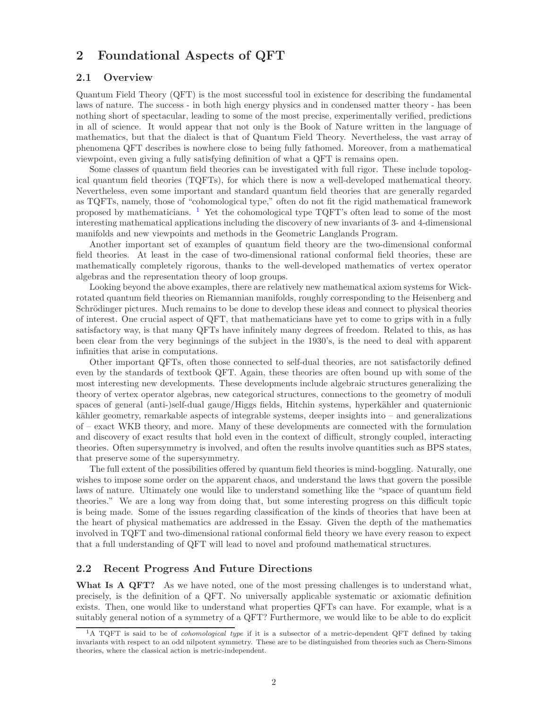## 2 Foundational Aspects of QFT

#### 2.1 Overview

Quantum Field Theory (QFT) is the most successful tool in existence for describing the fundamental laws of nature. The success - in both high energy physics and in condensed matter theory - has been nothing short of spectacular, leading to some of the most precise, experimentally verified, predictions in all of science. It would appear that not only is the Book of Nature written in the language of mathematics, but that the dialect is that of Quantum Field Theory. Nevertheless, the vast array of phenomena QFT describes is nowhere close to being fully fathomed. Moreover, from a mathematical viewpoint, even giving a fully satisfying definition of what a QFT is remains open.

Some classes of quantum field theories can be investigated with full rigor. These include topological quantum field theories (TQFTs), for which there is now a well-developed mathematical theory. Nevertheless, even some important and standard quantum field theories that are generally regarded as TQFTs, namely, those of "cohomological type," often do not fit the rigid mathematical framework proposed by mathematicians.  $\frac{1}{1}$  $\frac{1}{1}$  $\frac{1}{1}$  Yet the cohomological type TQFT's often lead to some of the most interesting mathematical applications including the discovery of new invariants of 3- and 4-dimensional manifolds and new viewpoints and methods in the Geometric Langlands Program.

Another important set of examples of quantum field theory are the two-dimensional conformal field theories. At least in the case of two-dimensional rational conformal field theories, these are mathematically completely rigorous, thanks to the well-developed mathematics of vertex operator algebras and the representation theory of loop groups.

Looking beyond the above examples, there are relatively new mathematical axiom systems for Wickrotated quantum field theories on Riemannian manifolds, roughly corresponding to the Heisenberg and Schrödinger pictures. Much remains to be done to develop these ideas and connect to physical theories of interest. One crucial aspect of QFT, that mathematicians have yet to come to grips with in a fully satisfactory way, is that many QFTs have infinitely many degrees of freedom. Related to this, as has been clear from the very beginnings of the subject in the 1930's, is the need to deal with apparent infinities that arise in computations.

Other important QFTs, often those connected to self-dual theories, are not satisfactorily defined even by the standards of textbook QFT. Again, these theories are often bound up with some of the most interesting new developments. These developments include algebraic structures generalizing the theory of vertex operator algebras, new categorical structures, connections to the geometry of moduli spaces of general (anti-)self-dual gauge/Higgs fields, Hitchin systems, hyperkähler and quaternionic kähler geometry, remarkable aspects of integrable systems, deeper insights into  $-$  and generalizations of – exact WKB theory, and more. Many of these developments are connected with the formulation and discovery of exact results that hold even in the context of difficult, strongly coupled, interacting theories. Often supersymmetry is involved, and often the results involve quantities such as BPS states, that preserve some of the supersymmetry.

The full extent of the possibilities offered by quantum field theories is mind-boggling. Naturally, one wishes to impose some order on the apparent chaos, and understand the laws that govern the possible laws of nature. Ultimately one would like to understand something like the "space of quantum field theories." We are a long way from doing that, but some interesting progress on this difficult topic is being made. Some of the issues regarding classification of the kinds of theories that have been at the heart of physical mathematics are addressed in the Essay. Given the depth of the mathematics involved in TQFT and two-dimensional rational conformal field theory we have every reason to expect that a full understanding of QFT will lead to novel and profound mathematical structures.

#### 2.2 Recent Progress And Future Directions

What Is A QFT? As we have noted, one of the most pressing challenges is to understand what, precisely, is the definition of a QFT. No universally applicable systematic or axiomatic definition exists. Then, one would like to understand what properties QFTs can have. For example, what is a suitably general notion of a symmetry of a QFT? Furthermore, we would like to be able to do explicit

<span id="page-1-0"></span><sup>&</sup>lt;sup>1</sup>A TQFT is said to be of *cohomological type* if it is a subsector of a metric-dependent QFT defined by taking invariants with respect to an odd nilpotent symmetry. These are to be distinguished from theories such as Chern-Simons theories, where the classical action is metric-independent.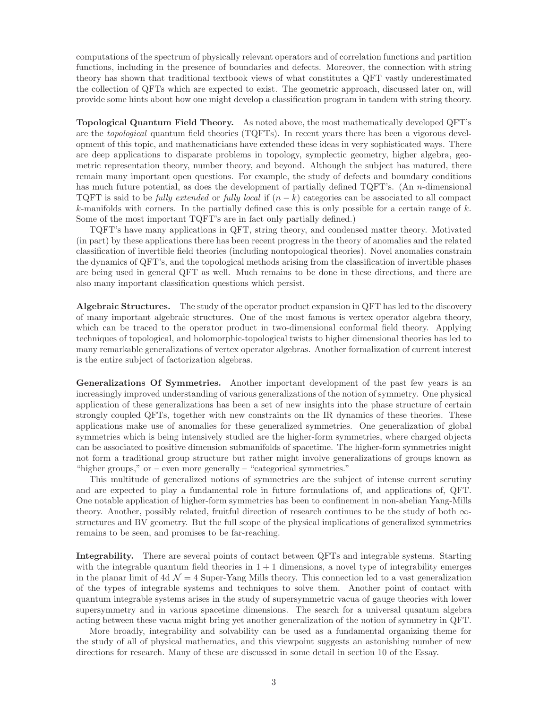computations of the spectrum of physically relevant operators and of correlation functions and partition functions, including in the presence of boundaries and defects. Moreover, the connection with string theory has shown that traditional textbook views of what constitutes a QFT vastly underestimated the collection of QFTs which are expected to exist. The geometric approach, discussed later on, will provide some hints about how one might develop a classification program in tandem with string theory.

Topological Quantum Field Theory. As noted above, the most mathematically developed QFT's are the topological quantum field theories (TQFTs). In recent years there has been a vigorous development of this topic, and mathematicians have extended these ideas in very sophisticated ways. There are deep applications to disparate problems in topology, symplectic geometry, higher algebra, geometric representation theory, number theory, and beyond. Although the subject has matured, there remain many important open questions. For example, the study of defects and boundary conditions has much future potential, as does the development of partially defined TQFT's. (An n-dimensional TQFT is said to be *fully extended* or *fully local* if  $(n - k)$  categories can be associated to all compact  $k$ -manifolds with corners. In the partially defined case this is only possible for a certain range of  $k$ . Some of the most important TQFT's are in fact only partially defined.)

TQFT's have many applications in QFT, string theory, and condensed matter theory. Motivated (in part) by these applications there has been recent progress in the theory of anomalies and the related classification of invertible field theories (including nontopological theories). Novel anomalies constrain the dynamics of QFT's, and the topological methods arising from the classification of invertible phases are being used in general QFT as well. Much remains to be done in these directions, and there are also many important classification questions which persist.

Algebraic Structures. The study of the operator product expansion in QFT has led to the discovery of many important algebraic structures. One of the most famous is vertex operator algebra theory, which can be traced to the operator product in two-dimensional conformal field theory. Applying techniques of topological, and holomorphic-topological twists to higher dimensional theories has led to many remarkable generalizations of vertex operator algebras. Another formalization of current interest is the entire subject of factorization algebras.

Generalizations Of Symmetries. Another important development of the past few years is an increasingly improved understanding of various generalizations of the notion of symmetry. One physical application of these generalizations has been a set of new insights into the phase structure of certain strongly coupled QFTs, together with new constraints on the IR dynamics of these theories. These applications make use of anomalies for these generalized symmetries. One generalization of global symmetries which is being intensively studied are the higher-form symmetries, where charged objects can be associated to positive dimension submanifolds of spacetime. The higher-form symmetries might not form a traditional group structure but rather might involve generalizations of groups known as "higher groups," or – even more generally – "categorical symmetries."

This multitude of generalized notions of symmetries are the subject of intense current scrutiny and are expected to play a fundamental role in future formulations of, and applications of, QFT. One notable application of higher-form symmetries has been to confinement in non-abelian Yang-Mills theory. Another, possibly related, fruitful direction of research continues to be the study of both ∞ structures and BV geometry. But the full scope of the physical implications of generalized symmetries remains to be seen, and promises to be far-reaching.

Integrability. There are several points of contact between QFTs and integrable systems. Starting with the integrable quantum field theories in  $1 + 1$  dimensions, a novel type of integrability emerges in the planar limit of  $4d \mathcal{N} = 4$  Super-Yang Mills theory. This connection led to a vast generalization of the types of integrable systems and techniques to solve them. Another point of contact with quantum integrable systems arises in the study of supersymmetric vacua of gauge theories with lower supersymmetry and in various spacetime dimensions. The search for a universal quantum algebra acting between these vacua might bring yet another generalization of the notion of symmetry in QFT.

More broadly, integrability and solvability can be used as a fundamental organizing theme for the study of all of physical mathematics, and this viewpoint suggests an astonishing number of new directions for research. Many of these are discussed in some detail in section 10 of the Essay.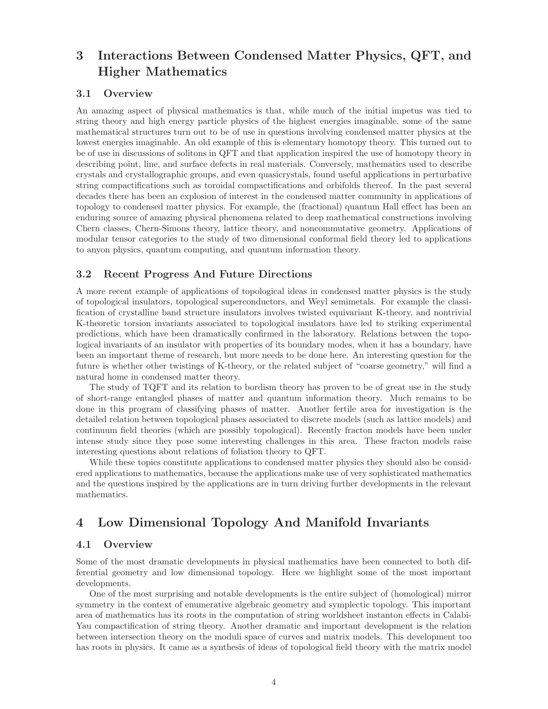# 3 Interactions Between Condensed Matter Physics, QFT, and Higher Mathematics

#### 3.1 Overview

An amazing aspect of physical mathematics is that, while much of the initial impetus was tied to string theory and high energy particle physics of the highest energies imaginable, some of the same mathematical structures turn out to be of use in questions involving condensed matter physics at the lowest energies imaginable. An old example of this is elementary homotopy theory. This turned out to be of use in discussions of solitons in QFT and that application inspired the use of homotopy theory in describing point, line, and surface defects in real materials. Conversely, mathematics used to describe crystals and crystallographic groups, and even quasicrystals, found useful applications in perturbative string compactifications such as toroidal compactifications and orbifolds thereof. In the past several decades there has been an explosion of interest in the condensed matter community in applications of topology to condensed matter physics. For example, the (fractional) quantum Hall effect has been an enduring source of amazing physical phenomena related to deep mathematical constructions involving Chern classes, Chern-Simons theory, lattice theory, and noncommutative geometry. Applications of modular tensor categories to the study of two dimensional conformal field theory led to applications to anyon physics, quantum computing, and quantum information theory.

#### 3.2 Recent Progress And Future Directions

A more recent example of applications of topological ideas in condensed matter physics is the study of topological insulators, topological superconductors, and Weyl semimetals. For example the classification of crystalline band structure insulators involves twisted equivariant K-theory, and nontrivial K-theoretic torsion invariants associated to topological insulators have led to striking experimental predictions, which have been dramatically confirmed in the laboratory. Relations between the topological invariants of an insulator with properties of its boundary modes, when it has a boundary, have been an important theme of research, but more needs to be done here. An interesting question for the future is whether other twistings of K-theory, or the related subject of "coarse geometry," will find a natural home in condensed matter theory.

The study of TQFT and its relation to bordism theory has proven to be of great use in the study of short-range entangled phases of matter and quantum information theory. Much remains to be done in this program of classifying phases of matter. Another fertile area for investigation is the detailed relation between topological phases associated to discrete models (such as lattice models) and continuum field theories (which are possibly topological). Recently fracton models have been under intense study since they pose some interesting challenges in this area. These fracton models raise interesting questions about relations of foliation theory to QFT.

While these topics constitute applications to condensed matter physics they should also be considered applications to mathematics, because the applications make use of very sophisticated mathematics and the questions inspired by the applications are in turn driving further developments in the relevant mathematics.

# 4 Low Dimensional Topology And Manifold Invariants

#### 4.1 Overview

Some of the most dramatic developments in physical mathematics have been connected to both differential geometry and low dimensional topology. Here we highlight some of the most important developments.

One of the most surprising and notable developments is the entire subject of (homological) mirror symmetry in the context of enumerative algebraic geometry and symplectic topology. This important area of mathematics has its roots in the computation of string worldsheet instanton effects in Calabi-Yau compactification of string theory. Another dramatic and important development is the relation between intersection theory on the moduli space of curves and matrix models. This development too has roots in physics. It came as a synthesis of ideas of topological field theory with the matrix model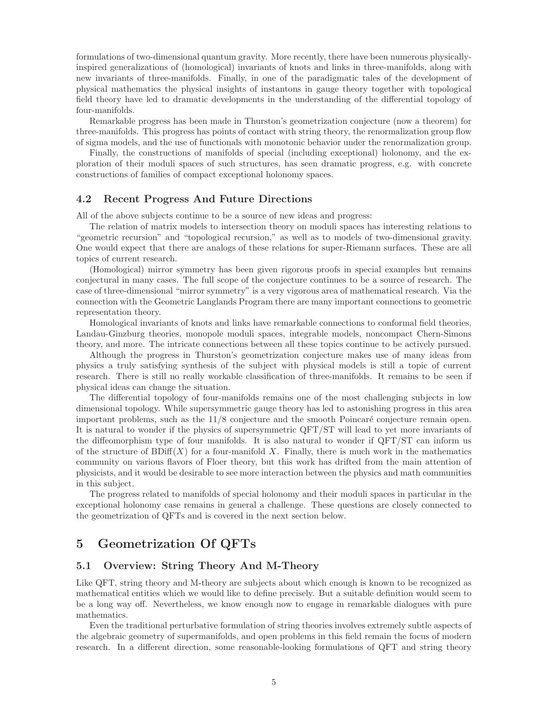formulations of two-dimensional quantum gravity. More recently, there have been numerous physicallyinspired generalizations of (homological) invariants of knots and links in three-manifolds, along with new invariants of three-manifolds. Finally, in one of the paradigmatic tales of the development of physical mathematics the physical insights of instantons in gauge theory together with topological field theory have led to dramatic developments in the understanding of the differential topology of four-manifolds.

Remarkable progress has been made in Thurston's geometrization conjecture (now a theorem) for three-manifolds. This progress has points of contact with string theory, the renormalization group flow of sigma models, and the use of functionals with monotonic behavior under the renormalization group.

Finally, the constructions of manifolds of special (including exceptional) holonomy, and the exploration of their moduli spaces of such structures, has seen dramatic progress, e.g. with concrete constructions of families of compact exceptional holonomy spaces.

#### 4.2 Recent Progress And Future Directions

All of the above subjects continue to be a source of new ideas and progress:

The relation of matrix models to intersection theory on moduli spaces has interesting relations to "geometric recursion" and "topological recursion," as well as to models of two-dimensional gravity. One would expect that there are analogs of these relations for super-Riemann surfaces. These are all topics of current research.

(Homological) mirror symmetry has been given rigorous proofs in special examples but remains conjectural in many cases. The full scope of the conjecture continues to be a source of research. The case of three-dimensional "mirror symmetry" is a very vigorous area of mathematical research. Via the connection with the Geometric Langlands Program there are many important connections to geometric representation theory.

Homological invariants of knots and links have remarkable connections to conformal field theories, Landau-Ginzburg theories, monopole moduli spaces, integrable models, noncompact Chern-Simons theory, and more. The intricate connections between all these topics continue to be actively pursued.

Although the progress in Thurston's geometrization conjecture makes use of many ideas from physics a truly satisfying synthesis of the subject with physical models is still a topic of current research. There is still no really workable classification of three-manifolds. It remains to be seen if physical ideas can change the situation.

The differential topology of four-manifolds remains one of the most challenging subjects in low dimensional topology. While supersymmetric gauge theory has led to astonishing progress in this area important problems, such as the  $11/8$  conjecture and the smooth Poincaré conjecture remain open. It is natural to wonder if the physics of supersymmetric QFT/ST will lead to yet more invariants of the diffeomorphism type of four manifolds. It is also natural to wonder if QFT/ST can inform us of the structure of  $BDiff(X)$  for a four-manifold X. Finally, there is much work in the mathematics community on various flavors of Floer theory, but this work has drifted from the main attention of physicists, and it would be desirable to see more interaction between the physics and math communities in this subject.

The progress related to manifolds of special holonomy and their moduli spaces in particular in the exceptional holonomy case remains in general a challenge. These questions are closely connected to the geometrization of QFTs and is covered in the next section below.

### 5 Geometrization Of QFTs

### 5.1 Overview: String Theory And M-Theory

Like QFT, string theory and M-theory are subjects about which enough is known to be recognized as mathematical entities which we would like to define precisely. But a suitable definition would seem to be a long way off. Nevertheless, we know enough now to engage in remarkable dialogues with pure mathematics.

Even the traditional perturbative formulation of string theories involves extremely subtle aspects of the algebraic geometry of supermanifolds, and open problems in this field remain the focus of modern research. In a different direction, some reasonable-looking formulations of QFT and string theory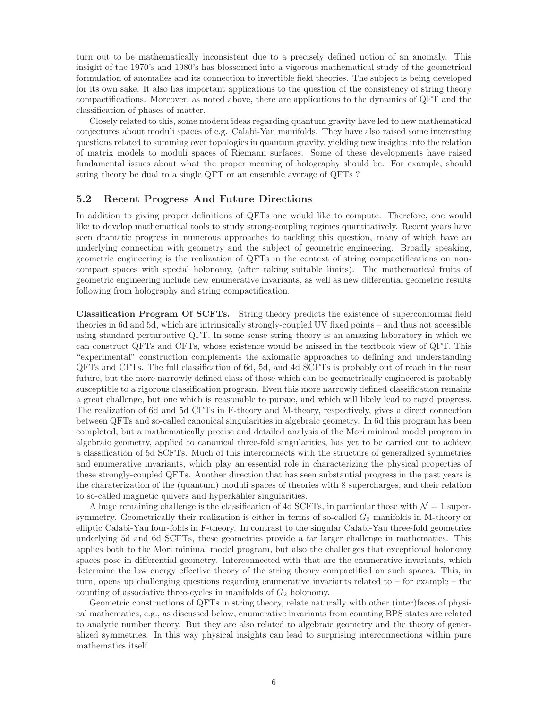turn out to be mathematically inconsistent due to a precisely defined notion of an anomaly. This insight of the 1970's and 1980's has blossomed into a vigorous mathematical study of the geometrical formulation of anomalies and its connection to invertible field theories. The subject is being developed for its own sake. It also has important applications to the question of the consistency of string theory compactifications. Moreover, as noted above, there are applications to the dynamics of QFT and the classification of phases of matter.

Closely related to this, some modern ideas regarding quantum gravity have led to new mathematical conjectures about moduli spaces of e.g. Calabi-Yau manifolds. They have also raised some interesting questions related to summing over topologies in quantum gravity, yielding new insights into the relation of matrix models to moduli spaces of Riemann surfaces. Some of these developments have raised fundamental issues about what the proper meaning of holography should be. For example, should string theory be dual to a single QFT or an ensemble average of QFTs ?

#### 5.2 Recent Progress And Future Directions

In addition to giving proper definitions of QFTs one would like to compute. Therefore, one would like to develop mathematical tools to study strong-coupling regimes quantitatively. Recent years have seen dramatic progress in numerous approaches to tackling this question, many of which have an underlying connection with geometry and the subject of geometric engineering. Broadly speaking, geometric engineering is the realization of QFTs in the context of string compactifications on noncompact spaces with special holonomy, (after taking suitable limits). The mathematical fruits of geometric engineering include new enumerative invariants, as well as new differential geometric results following from holography and string compactification.

Classification Program Of SCFTs. String theory predicts the existence of superconformal field theories in 6d and 5d, which are intrinsically strongly-coupled UV fixed points – and thus not accessible using standard perturbative QFT. In some sense string theory is an amazing laboratory in which we can construct QFTs and CFTs, whose existence would be missed in the textbook view of QFT. This "experimental" construction complements the axiomatic approaches to defining and understanding QFTs and CFTs. The full classification of 6d, 5d, and 4d SCFTs is probably out of reach in the near future, but the more narrowly defined class of those which can be geometrically engineered is probably susceptible to a rigorous classification program. Even this more narrowly defined classification remains a great challenge, but one which is reasonable to pursue, and which will likely lead to rapid progress. The realization of 6d and 5d CFTs in F-theory and M-theory, respectively, gives a direct connection between QFTs and so-called canonical singularities in algebraic geometry. In 6d this program has been completed, but a mathematically precise and detailed analysis of the Mori minimal model program in algebraic geometry, applied to canonical three-fold singularities, has yet to be carried out to achieve a classification of 5d SCFTs. Much of this interconnects with the structure of generalized symmetries and enumerative invariants, which play an essential role in characterizing the physical properties of these strongly-coupled QFTs. Another direction that has seen substantial progress in the past years is the charaterization of the (quantum) moduli spaces of theories with 8 supercharges, and their relation to so-called magnetic quivers and hyperkähler singularities.

A huge remaining challenge is the classification of 4d SCFTs, in particular those with  $\mathcal{N} = 1$  supersymmetry. Geometrically their realization is either in terms of so-called  $G_2$  manifolds in M-theory or elliptic Calabi-Yau four-folds in F-theory. In contrast to the singular Calabi-Yau three-fold geometries underlying 5d and 6d SCFTs, these geometries provide a far larger challenge in mathematics. This applies both to the Mori minimal model program, but also the challenges that exceptional holonomy spaces pose in differential geometry. Interconnected with that are the enumerative invariants, which determine the low energy effective theory of the string theory compactified on such spaces. This, in turn, opens up challenging questions regarding enumerative invariants related to – for example – the counting of associative three-cycles in manifolds of  $G_2$  holonomy.

Geometric constructions of QFTs in string theory, relate naturally with other (inter)faces of physical mathematics, e.g., as discussed below, enumerative invariants from counting BPS states are related to analytic number theory. But they are also related to algebraic geometry and the theory of generalized symmetries. In this way physical insights can lead to surprising interconnections within pure mathematics itself.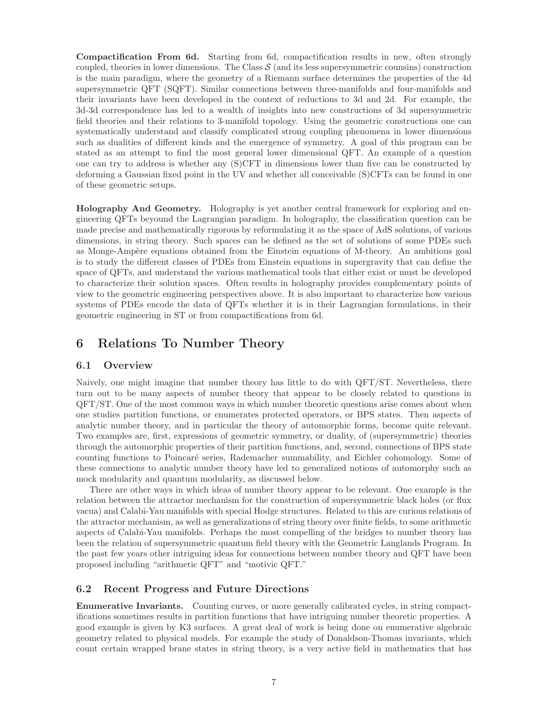Compactification From 6d. Starting from 6d, compactification results in new, often strongly coupled, theories in lower dimensions. The Class  $S$  (and its less supersymmetric counsins) construction is the main paradigm, where the geometry of a Riemann surface determines the properties of the 4d supersymmetric QFT (SQFT). Similar connections between three-manifolds and four-manifolds and their invariants have been developed in the context of reductions to 3d and 2d. For example, the 3d-3d correspondence has led to a wealth of insights into new constructions of 3d supersymmetric field theories and their relations to 3-manifold topology. Using the geometric constructions one can systematically understand and classify complicated strong coupling phenomena in lower dimensions such as dualities of different kinds and the emergence of symmetry. A goal of this program can be stated as an attempt to find the most general lower dimensional QFT. An example of a question one can try to address is whether any (S)CFT in dimensions lower than five can be constructed by deforming a Gaussian fixed point in the UV and whether all conceivable (S)CFTs can be found in one of these geometric setups.

Holography And Geometry. Holography is yet another central framework for exploring and engineering QFTs beyound the Lagrangian paradigm. In holography, the classification question can be made precise and mathematically rigorous by reformulating it as the space of AdS solutions, of various dimensions, in string theory. Such spaces can be defined as the set of solutions of some PDEs such as Monge-Ampère equations obtained from the Einstein equations of M-theory. An ambitious goal is to study the different classes of PDEs from Einstein equations in supergravity that can define the space of QFTs, and understand the various mathematical tools that either exist or must be developed to characterize their solution spaces. Often results in holography provides complementary points of view to the geometric engineering perspectives above. It is also important to characterize how various systems of PDEs encode the data of QFTs whether it is in their Lagrangian formulations, in their geometric engineering in ST or from compactifications from 6d.

## 6 Relations To Number Theory

#### 6.1 Overview

Naively, one might imagine that number theory has little to do with QFT/ST. Nevertheless, there turn out to be many aspects of number theory that appear to be closely related to questions in QFT/ST. One of the most common ways in which number theoretic questions arise comes about when one studies partition functions, or enumerates protected operators, or BPS states. Then aspects of analytic number theory, and in particular the theory of automorphic forms, become quite relevant. Two examples are, first, expressions of geometric symmetry, or duality, of (supersymmetric) theories through the automorphic properties of their partition functions, and, second, connections of BPS state counting functions to Poincar´e series, Rademacher summability, and Eichler cohomology. Some of these connections to analytic number theory have led to generalized notions of automorphy such as mock modularity and quantum modularity, as discussed below.

There are other ways in which ideas of number theory appear to be relevant. One example is the relation between the attractor mechanism for the construction of supersymmetric black holes (or flux vacua) and Calabi-Yau manifolds with special Hodge structures. Related to this are curious relations of the attractor mechanism, as well as generalizations of string theory over finite fields, to some arithmetic aspects of Calabi-Yau manifolds. Perhaps the most compelling of the bridges to number theory has been the relation of supersymmetric quantum field theory with the Geometric Langlands Program. In the past few years other intriguing ideas for connections between number theory and QFT have been proposed including "arithmetic QFT" and "motivic QFT."

#### 6.2 Recent Progress and Future Directions

Enumerative Invariants. Counting curves, or more generally calibrated cycles, in string compactifications sometimes results in partition functions that have intriguing number theoretic properties. A good example is given by K3 surfaces. A great deal of work is being done on enumerative algebraic geometry related to physical models. For example the study of Donaldson-Thomas invariants, which count certain wrapped brane states in string theory, is a very active field in mathematics that has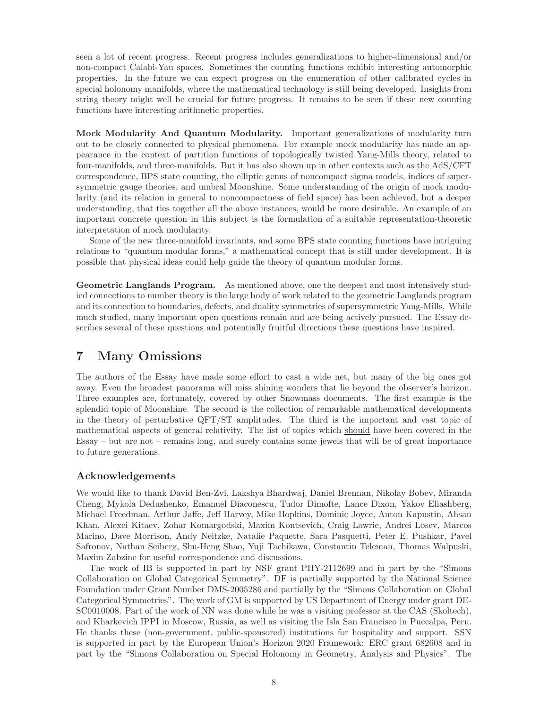seen a lot of recent progress. Recent progress includes generalizations to higher-dimensional and/or non-compact Calabi-Yau spaces. Sometimes the counting functions exhibit interesting automorphic properties. In the future we can expect progress on the enumeration of other calibrated cycles in special holonomy manifolds, where the mathematical technology is still being developed. Insights from string theory might well be crucial for future progress. It remains to be seen if these new counting functions have interesting arithmetic properties.

Mock Modularity And Quantum Modularity. Important generalizations of modularity turn out to be closely connected to physical phenomena. For example mock modularity has made an appearance in the context of partition functions of topologically twisted Yang-Mills theory, related to four-manifolds, and three-manifolds. But it has also shown up in other contexts such as the AdS/CFT correspondence, BPS state counting, the elliptic genus of noncompact sigma models, indices of supersymmetric gauge theories, and umbral Moonshine. Some understanding of the origin of mock modularity (and its relation in general to noncompactness of field space) has been achieved, but a deeper understanding, that ties together all the above instances, would be more desirable. An example of an important concrete question in this subject is the formulation of a suitable representation-theoretic interpretation of mock modularity.

Some of the new three-manifold invariants, and some BPS state counting functions have intriguing relations to "quantum modular forms," a mathematical concept that is still under development. It is possible that physical ideas could help guide the theory of quantum modular forms.

Geometric Langlands Program. As mentioned above, one the deepest and most intensively studied connections to number theory is the large body of work related to the geometric Langlands program and its connection to boundaries, defects, and duality symmetries of supersymmetric Yang-Mills. While much studied, many important open questions remain and are being actively pursued. The Essay describes several of these questions and potentially fruitful directions these questions have inspired.

### 7 Many Omissions

The authors of the Essay have made some effort to cast a wide net, but many of the big ones got away. Even the broadest panorama will miss shining wonders that lie beyond the observer's horizon. Three examples are, fortunately, covered by other Snowmass documents. The first example is the splendid topic of Moonshine. The second is the collection of remarkable mathematical developments in the theory of perturbative QFT/ST amplitudes. The third is the important and vast topic of mathematical aspects of general relativity. The list of topics which should have been covered in the Essay – but are not – remains long, and surely contains some jewels that will be of great importance to future generations.

### Acknowledgements

We would like to thank David Ben-Zvi, Lakshya Bhardwaj, Daniel Brennan, Nikolay Bobev, Miranda Cheng, Mykola Dedushenko, Emanuel Diaconescu, Tudor Dimofte, Lance Dixon, Yakov Eliashberg, Michael Freedman, Arthur Jaffe, Jeff Harvey, Mike Hopkins, Dominic Joyce, Anton Kapustin, Ahsan Khan, Alexei Kitaev, Zohar Komargodski, Maxim Kontsevich, Craig Lawrie, Andrei Losev, Marcos Marino, Dave Morrison, Andy Neitzke, Natalie Paquette, Sara Pasquetti, Peter E. Pushkar, Pavel Safronov, Nathan Seiberg, Shu-Heng Shao, Yuji Tachikawa, Constantin Teleman, Thomas Walpuski, Maxim Zabzine for useful correspondence and discussions.

The work of IB is supported in part by NSF grant PHY-2112699 and in part by the "Simons Collaboration on Global Categorical Symmetry". DF is partially supported by the National Science Foundation under Grant Number DMS-2005286 and partially by the "Simons Collaboration on Global Categorical Symmetries". The work of GM is supported by US Department of Energy under grant DE-SC0010008. Part of the work of NN was done while he was a visiting professor at the CAS (Skoltech), and Kharkevich IPPI in Moscow, Russia, as well as visiting the Isla San Francisco in Puccalpa, Peru. He thanks these (non-government, public-sponsored) institutions for hospitality and support. SSN is supported in part by the European Union's Horizon 2020 Framework: ERC grant 682608 and in part by the "Simons Collaboration on Special Holonomy in Geometry, Analysis and Physics". The